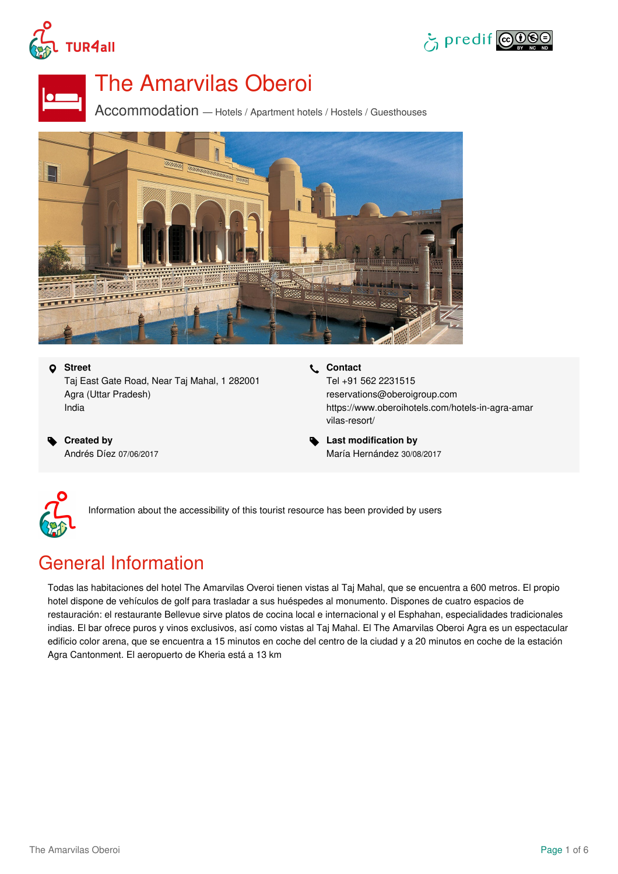





# The Amarvilas Oberoi

Accommodation — Hotels / Apartment hotels / Hostels / Guesthouses



 **Street** Taj East Gate Road, Near Taj Mahal, 1 282001 Agra (Uttar Pradesh) India

 **Created by** Andrés Díez 07/06/2017  **Contact** Tel +91 562 2231515 reservations@oberoigroup.com [https://www.oberoihotels.com/hotels-in-agra-amar](https://www.oberoihotels.com/hotels-in-agra-amarvilas-resort/) vilas-resort/

 **Last modification by** María Hernández 30/08/2017



Information about the accessibility of this tourist resource has been provided by users

# General Information

Todas las habitaciones del hotel The Amarvilas Overoi tienen vistas al Taj Mahal, que se encuentra a 600 metros. El propio hotel dispone de vehículos de golf para trasladar a sus huéspedes al monumento. Dispones de cuatro espacios de restauración: el restaurante Bellevue sirve platos de cocina local e internacional y el Esphahan, especialidades tradicionales indias. El bar ofrece puros y vinos exclusivos, así como vistas alTaj Mahal. El The Amarvilas Oberoi Agra es un espectacular edificio color arena, que se encuentra a 15 minutos en coche del centro de la ciudad y a 20 minutos en coche de la estación Agra Cantonment. El aeropuerto de Kheria está a 13 km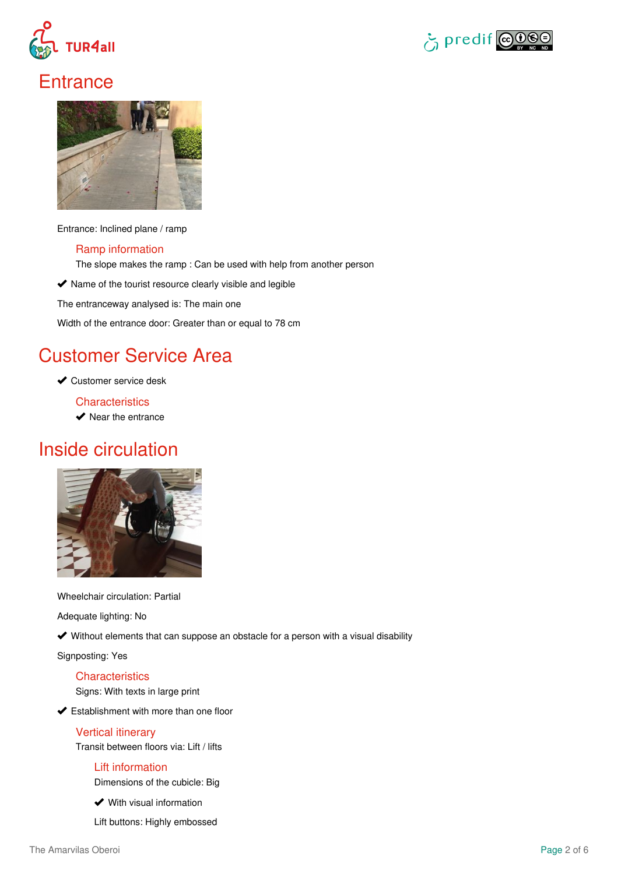



## **Entrance**



Entrance: Inclined plane / ramp

#### Ramp information

The slope makes the ramp : Can be used with help from another person

 $\blacktriangleright$  Name of the tourist resource clearly visible and legible

The entranceway analysed is: The main one

Width of the entrance door: Greater than or equal to 78 cm

### Customer Service Area

**◆ Customer service desk** 

**Characteristics** 

 $\blacktriangleright$  Near the entrance

### Inside circulation



Wheelchair circulation: Partial

Adequate lighting: No

Without elements that can suppose an obstacle for a person with a visual disability

Signposting: Yes

#### **Characteristics**

Signs: With texts in large print

**►** Establishment with more than one floor

#### Vertical itinerary

Transit between floors via: Lift / lifts

#### Lift information

Dimensions of the cubicle: Big

**◆** With visual information

Lift buttons: Highly embossed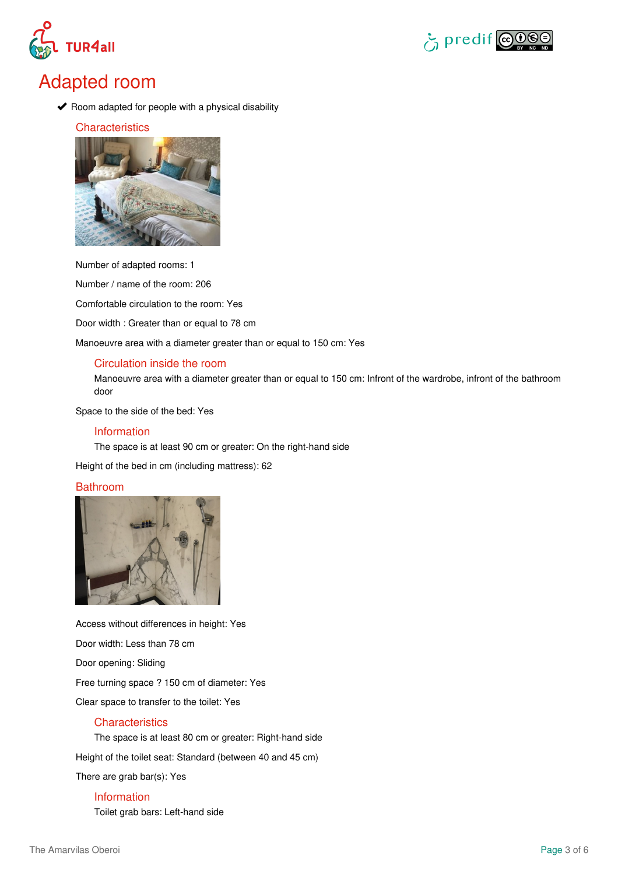



### Adapted room

 $\blacktriangleright$  Room adapted for people with a physical disability

#### **Characteristics**



Number of adapted rooms: 1

Number / name of the room: 206

Comfortable circulation to the room: Yes

Door width : Greater than or equal to 78 cm

Manoeuvre area with a diameter greater than or equal to 150 cm: Yes

#### Circulation inside the room

Manoeuvre area with a diameter greater than or equal to 150 cm: Infront of the wardrobe, infront of the bathroom door

Space to the side of the bed: Yes

#### Information

The space is at least 90 cm or greater: On the right-hand side

Height of the bed in cm (including mattress): 62

#### Bathroom



Access without differences in height: Yes Door width: Less than 78 cm Door opening: Sliding Free turning space ? 150 cm of diameter: Yes Clear space to transfer to the toilet: Yes

#### **Characteristics**

The space is at least 80 cm or greater: Right-hand side

Height of the toilet seat: Standard (between 40 and 45 cm)

There are grab bar(s): Yes

#### Information

Toilet grab bars: Left-hand side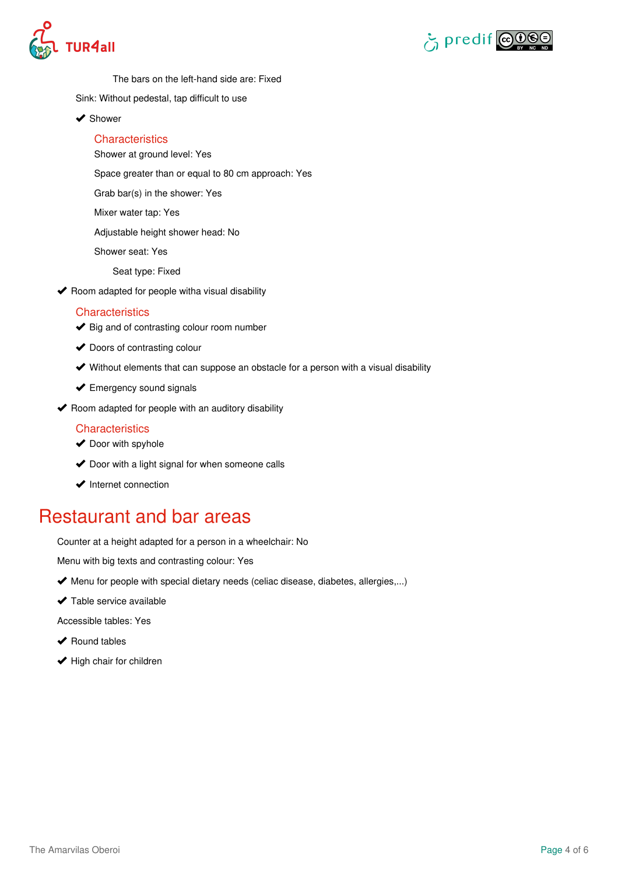



The bars on the left-hand side are: Fixed

- Sink: Without pedestal, tap difficult to use
- ◆ Shower

#### **Characteristics**

Shower at ground level: Yes

Space greater than or equal to 80 cm approach: Yes

Grab bar(s) in the shower: Yes

Mixer water tap: Yes

Adjustable height shower head: No

Shower seat: Yes

Seat type: Fixed

 $\blacktriangleright$  Room adapted for people witha visual disability

#### **Characteristics**

- $\blacktriangleright$  Big and of contrasting colour room number
- ◆ Doors of contrasting colour
- Without elements that can suppose an obstacle for a person with a visual disability
- **◆** Emergency sound signals
- $\blacktriangleright$  Room adapted for people with an auditory disability

#### **Characteristics**

- $\blacktriangleright$  Door with spyhole
- ◆ Door with a light signal for when someone calls
- $\blacktriangleright$  Internet connection

### Restaurant and bar areas

Counter at a height adapted for a person in a wheelchair: No

Menu with big texts and contrasting colour: Yes

- ◆ Menu for people with special dietary needs (celiac disease, diabetes, allergies,...)
- $\blacktriangleright$  Table service available

Accessible tables: Yes

- ◆ Round tables
- $\blacktriangleright$  High chair for children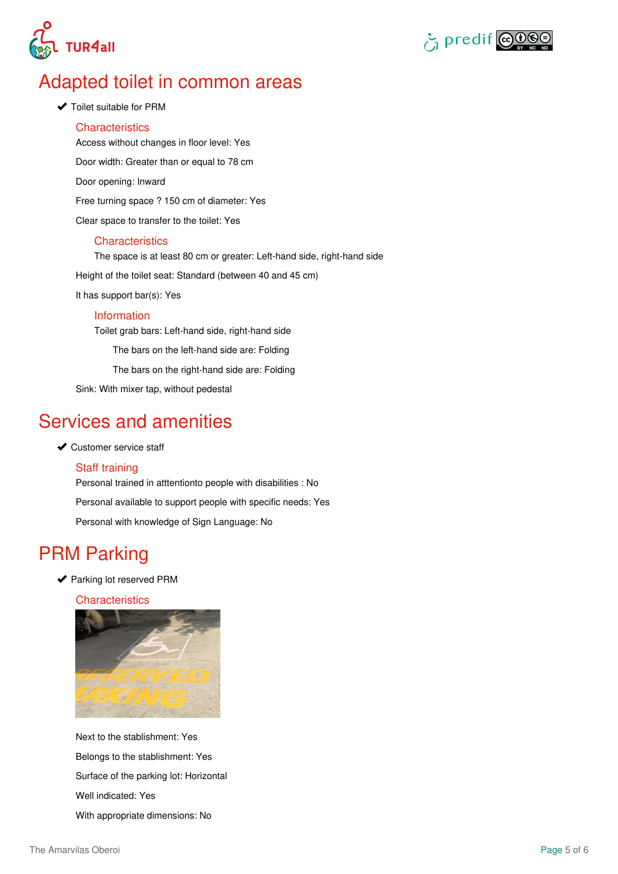



### Adapted toilet in common areas

#### ◆ Toilet suitable for PRM

**Characteristics** Access without changes in floor level: Yes Door width: Greater than or equal to 78 cm Door opening: Inward Free turning space ? 150 cm of diameter: Yes Clear space to transfer to the toilet: Yes **Characteristics** The space is at least 80 cm or greater: Left-hand side, right-hand side Height of the toilet seat: Standard (between 40 and 45 cm)

It has support bar(s): Yes

#### Information

Toilet grab bars: Left-hand side, right-hand side

The bars on the left-hand side are: Folding

The bars on the right-hand side are: Folding

Sink: With mixer tap, without pedestal

### Services and amenities

#### ◆ Customer service staff

#### Staff training

Personal trained in atttentionto people with disabilities : No Personal available to support people with specific needs: Yes Personal with knowledge of Sign Language: No

### PRM Parking

◆ Parking lot reserved PRM

#### **Characteristics**



Next to the stablishment: Yes Belongs to the stablishment: Yes Surface of the parking lot: Horizontal Well indicated: Yes With appropriate dimensions: No